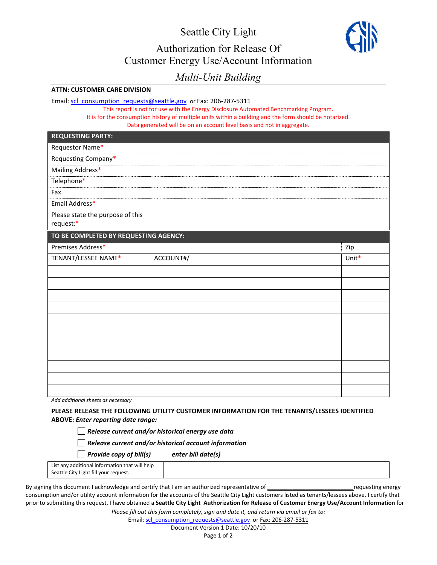Seattle City Light Authorization for Release Of Customer Energy Use/Account Information



## *Multi-Unit Building*

## **ATTN: CUSTOMER CARE DIVISION**

Email: [scl\\_consumption\\_requests@seattle.gov](mailto:scl_consumption_requests@seattle.gov) or Fax: 206-287-5311

This report is not for use with the Energy Disclosure Automated Benchmarking Program. It is for the consumption history of multiple units within a building and the form should be notarized. Data generated will be on an account level basis and not in aggregate.

| <b>REQUESTING PARTY:</b>                      |           |       |  |  |
|-----------------------------------------------|-----------|-------|--|--|
| Requestor Name*                               |           |       |  |  |
| Requesting Company*                           |           |       |  |  |
| Mailing Address*                              |           |       |  |  |
| Telephone*                                    |           |       |  |  |
| Fax                                           |           |       |  |  |
| Email Address*                                |           |       |  |  |
| Please state the purpose of this<br>request:* |           |       |  |  |
| TO BE COMPLETED BY REQUESTING AGENCY:         |           |       |  |  |
| Premises Address*                             |           | Zip   |  |  |
| TENANT/LESSEE NAME*                           | ACCOUNT#/ | Unit* |  |  |
|                                               |           |       |  |  |
|                                               |           |       |  |  |
|                                               |           |       |  |  |
|                                               |           |       |  |  |
|                                               |           |       |  |  |
|                                               |           |       |  |  |
|                                               |           |       |  |  |
|                                               |           |       |  |  |
|                                               |           |       |  |  |
|                                               |           |       |  |  |
|                                               |           |       |  |  |

*Add additional sheets as necessary*

**PLEASE RELEASE THE FOLLOWING UTILITY CUSTOMER INFORMATION FOR THE TENANTS/LESSEES IDENTIFIED ABOVE:** *Enter reporting date range:* 

*Release current and/or historical energy use data* 

*Release current and/or historical account information*

*Provide copy of bill(s) enter bill date(s)*

| List any additional information that will help |  |
|------------------------------------------------|--|
| Seattle City Light fill your request.          |  |

By signing this document I acknowledge and certify that I am an authorized representative of *\_\_\_\_\_\_\_\_\_\_\_\_\_\_\_\_\_\_\_\_\_\_\_\_\_\_\_*requesting energy consumption and/or utility account information for the accounts of the Seattle City Light customers listed as tenants/lessees above. I certify that prior to submitting this request, I have obtained a **Seattle City Light Authorization for Release of Customer Energy Use/Account Information** for

*Please fill out this form completely, sign and date it, and return via email or fax to:*

Email: [scl\\_consumption\\_requests@seattle.gov](mailto:scl_consumption_requests@seattle.gov)\_or Fax: 206-287-5311